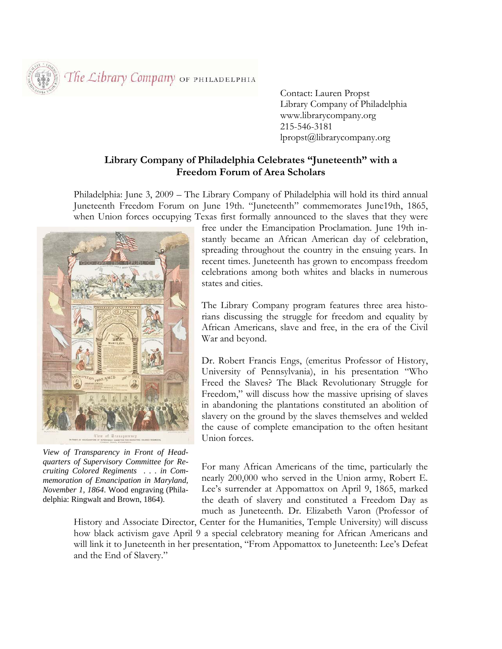The Library Company OF PHILADELPHIA

 Contact: Lauren Propst Library Company of Philadelphia www.librarycompany.org 215-546-3181 lpropst@librarycompany.org

## **Library Company of Philadelphia Celebrates "Juneteenth" with a Freedom Forum of Area Scholars**

Philadelphia: June 3, 2009 – The Library Company of Philadelphia will hold its third annual Juneteenth Freedom Forum on June 19th. "Juneteenth" commemorates June19th, 1865, when Union forces occupying Texas first formally announced to the slaves that they were



*View of Transparency in Front of Headquarters of Supervisory Committee for Recruiting Colored Regiments . . . in Commemoration of Emancipation in Maryland, November 1, 1864*. Wood engraving (Philadelphia: Ringwalt and Brown, 1864).

free under the Emancipation Proclamation. June 19th instantly became an African American day of celebration, spreading throughout the country in the ensuing years. In recent times. Juneteenth has grown to encompass freedom celebrations among both whites and blacks in numerous states and cities.

The Library Company program features three area historians discussing the struggle for freedom and equality by African Americans, slave and free, in the era of the Civil War and beyond.

Dr. Robert Francis Engs, (emeritus Professor of History, University of Pennsylvania), in his presentation "Who Freed the Slaves? The Black Revolutionary Struggle for Freedom," will discuss how the massive uprising of slaves in abandoning the plantations constituted an abolition of slavery on the ground by the slaves themselves and welded the cause of complete emancipation to the often hesitant Union forces.

For many African Americans of the time, particularly the nearly 200,000 who served in the Union army, Robert E. Lee's surrender at Appomattox on April 9, 1865, marked the death of slavery and constituted a Freedom Day as much as Juneteenth. Dr. Elizabeth Varon (Professor of

History and Associate Director, Center for the Humanities, Temple University) will discuss how black activism gave April 9 a special celebratory meaning for African Americans and will link it to Juneteenth in her presentation, "From Appomattox to Juneteenth: Lee's Defeat and the End of Slavery."